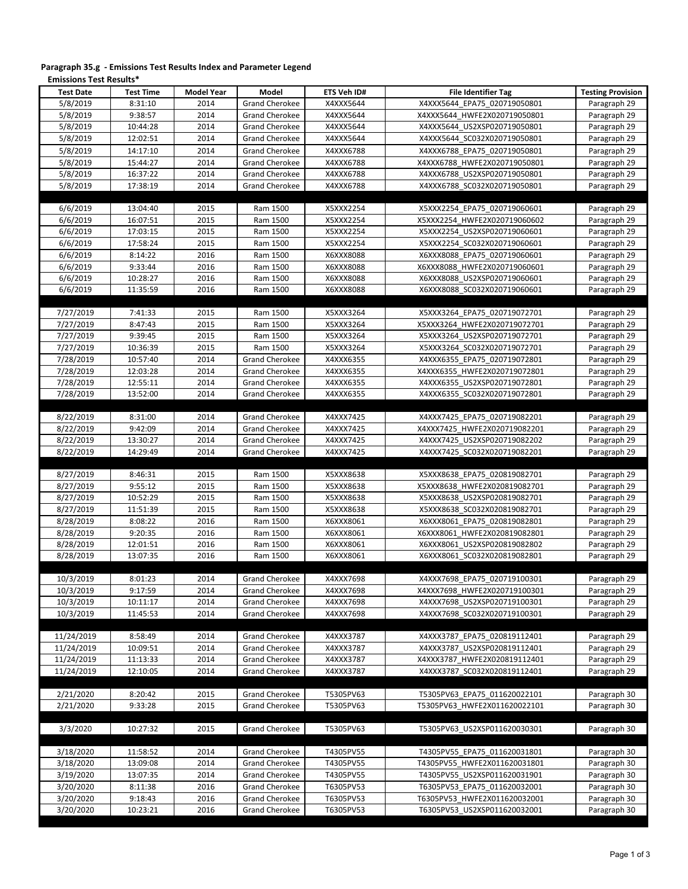| Paragraph 35.g - Emissions Test Results Index and Parameter Legend |  |
|--------------------------------------------------------------------|--|
| <b>Emissions Test Results*</b>                                     |  |

| <b>Test Date</b>         | <b>Test Time</b>     | <b>Model Year</b> | Model                                          | <b>ETS Veh ID#</b>     | <b>File Identifier Tag</b>                                   | <b>Testing Provision</b>     |
|--------------------------|----------------------|-------------------|------------------------------------------------|------------------------|--------------------------------------------------------------|------------------------------|
| 5/8/2019                 | 8:31:10              | 2014              | <b>Grand Cherokee</b>                          | X4XXX5644              | X4XXX5644_EPA75_020719050801                                 | Paragraph 29                 |
| 5/8/2019                 | 9:38:57              | 2014              | <b>Grand Cherokee</b>                          | X4XXX5644              | X4XXX5644 HWFE2X020719050801                                 | Paragraph 29                 |
| 5/8/2019                 | 10:44:28             | 2014              | <b>Grand Cherokee</b>                          | X4XXX5644              | X4XXX5644 US2XSP020719050801                                 | Paragraph 29                 |
| 5/8/2019                 | 12:02:51             | 2014              | <b>Grand Cherokee</b>                          | X4XXX5644              | X4XXX5644 SC032X020719050801                                 | Paragraph 29                 |
| 5/8/2019                 | 14:17:10             | 2014              | <b>Grand Cherokee</b>                          | X4XXX6788              | X4XXX6788 EPA75 020719050801                                 | Paragraph 29                 |
| 5/8/2019                 | 15:44:27             | 2014              | <b>Grand Cherokee</b>                          | X4XXX6788              | X4XXX6788 HWFE2X020719050801                                 | Paragraph 29                 |
| 5/8/2019                 | 16:37:22             | 2014              | <b>Grand Cherokee</b>                          | X4XXX6788              | X4XXX6788 US2XSP020719050801                                 | Paragraph 29                 |
| 5/8/2019                 | 17:38:19             | 2014              | <b>Grand Cherokee</b>                          | X4XXX6788              | X4XXX6788 SC032X020719050801                                 | Paragraph 29                 |
|                          |                      |                   |                                                |                        |                                                              |                              |
| 6/6/2019<br>6/6/2019     | 13:04:40<br>16:07:51 | 2015<br>2015      | Ram 1500<br>Ram 1500                           | X5XXX2254<br>X5XXX2254 | X5XXX2254 EPA75 020719060601<br>X5XXX2254 HWFE2X020719060602 | Paragraph 29<br>Paragraph 29 |
| 6/6/2019                 | 17:03:15             | 2015              | Ram 1500                                       | X5XXX2254              | X5XXX2254 US2XSP020719060601                                 | Paragraph 29                 |
| 6/6/2019                 | 17:58:24             | 2015              | Ram 1500                                       | X5XXX2254              | X5XXX2254 SC032X020719060601                                 | Paragraph 29                 |
| 6/6/2019                 | 8:14:22              | 2016              | Ram 1500                                       | X6XXX8088              | X6XXX8088 EPA75 020719060601                                 | Paragraph 29                 |
| 6/6/2019                 | 9:33:44              | 2016              | Ram 1500                                       | X6XXX8088              | X6XXX8088 HWFE2X020719060601                                 | Paragraph 29                 |
| 6/6/2019                 | 10:28:27             | 2016              | Ram 1500                                       | X6XXX8088              | X6XXX8088 US2XSP020719060601                                 | Paragraph 29                 |
| 6/6/2019                 | 11:35:59             | 2016              | Ram 1500                                       | X6XXX8088              | X6XXX8088 SC032X020719060601                                 | Paragraph 29                 |
|                          |                      |                   |                                                |                        |                                                              |                              |
| 7/27/2019                | 7:41:33              | 2015              | Ram 1500                                       | X5XXX3264              | X5XXX3264 EPA75 020719072701                                 | Paragraph 29                 |
| 7/27/2019                | 8:47:43              | 2015              | Ram 1500                                       | X5XXX3264              | X5XXX3264 HWFE2X020719072701                                 | Paragraph 29                 |
| 7/27/2019                | 9:39:45              | 2015              | Ram 1500                                       | X5XXX3264              | X5XXX3264 US2XSP020719072701                                 | Paragraph 29                 |
| 7/27/2019                | 10:36:39             | 2015              | Ram 1500                                       | X5XXX3264              | X5XXX3264 SC032X020719072701                                 | Paragraph 29                 |
| 7/28/2019<br>7/28/2019   | 10:57:40<br>12:03:28 | 2014<br>2014      | Grand Cherokee<br><b>Grand Cherokee</b>        | X4XXX6355              | X4XXX6355 EPA75 020719072801                                 | Paragraph 29                 |
| 7/28/2019                | 12:55:11             | 2014              | <b>Grand Cherokee</b>                          | X4XXX6355<br>X4XXX6355 | X4XXX6355 HWFE2X020719072801<br>X4XXX6355 US2XSP020719072801 | Paragraph 29<br>Paragraph 29 |
| 7/28/2019                | 13:52:00             | 2014              | <b>Grand Cherokee</b>                          | X4XXX6355              | X4XXX6355 SC032X020719072801                                 | Paragraph 29                 |
|                          |                      |                   |                                                |                        |                                                              |                              |
| 8/22/2019                | 8:31:00              | 2014              | <b>Grand Cherokee</b>                          | X4XXX7425              | X4XXX7425 EPA75 020719082201                                 | Paragraph 29                 |
| 8/22/2019                | 9:42:09              | 2014              | <b>Grand Cherokee</b>                          | X4XXX7425              | X4XXX7425 HWFE2X020719082201                                 | Paragraph 29                 |
| 8/22/2019                | 13:30:27             | 2014              | <b>Grand Cherokee</b>                          | X4XXX7425              | X4XXX7425 US2XSP020719082202                                 | Paragraph 29                 |
| 8/22/2019                | 14:29:49             | 2014              | Grand Cherokee                                 | X4XXX7425              | X4XXX7425 SC032X020719082201                                 | Paragraph 29                 |
|                          |                      |                   |                                                |                        |                                                              |                              |
| 8/27/2019                | 8:46:31              | 2015              | Ram 1500                                       | X5XXX8638              | X5XXX8638 EPA75 020819082701                                 | Paragraph 29                 |
| 8/27/2019<br>8/27/2019   | 9:55:12              | 2015              | Ram 1500                                       | X5XXX8638              | X5XXX8638 HWFE2X020819082701                                 | Paragraph 29                 |
| 8/27/2019                | 10:52:29<br>11:51:39 | 2015<br>2015      | Ram 1500<br>Ram 1500                           | X5XXX8638<br>X5XXX8638 | X5XXX8638 US2XSP020819082701<br>X5XXX8638 SC032X020819082701 | Paragraph 29<br>Paragraph 29 |
| 8/28/2019                | 8:08:22              | 2016              | Ram 1500                                       | X6XXX8061              | X6XXX8061 EPA75 020819082801                                 | Paragraph 29                 |
| 8/28/2019                | 9:20:35              | 2016              | Ram 1500                                       | X6XXX8061              | X6XXX8061 HWFE2X020819082801                                 | Paragraph 29                 |
| 8/28/2019                | 12:01:51             | 2016              | Ram 1500                                       | X6XXX8061              | X6XXX8061 US2XSP020819082802                                 | Paragraph 29                 |
| 8/28/2019                | 13:07:35             | 2016              | Ram 1500                                       | X6XXX8061              | X6XXX8061 SC032X020819082801                                 | Paragraph 29                 |
|                          |                      |                   |                                                |                        |                                                              |                              |
| 10/3/2019                | 8:01:23              | 2014              | <b>Grand Cherokee</b>                          | X4XXX7698              | X4XXX7698 EPA75 020719100301                                 | Paragraph 29                 |
| 10/3/2019                | 9:17:59              | 2014              | Grand Cherokee                                 | X4XXX7698              | X4XXX7698_HWFE2X020719100301                                 | Paragraph 29                 |
| 10/3/2019                | 10:11:17             | 2014              | <b>Grand Cherokee</b>                          | X4XXX7698              | X4XXX7698 US2XSP020719100301                                 | Paragraph 29                 |
| 10/3/2019                | 11:45:53             | 2014              | <b>Grand Cherokee</b>                          | X4XXX7698              | X4XXX7698 SC032X020719100301                                 | Paragraph 29                 |
|                          |                      |                   |                                                |                        |                                                              |                              |
| 11/24/2019<br>11/24/2019 | 8:58:49              | 2014              | <b>Grand Cherokee</b>                          | X4XXX3787              | X4XXX3787_EPA75_020819112401<br>X4XXX3787 US2XSP020819112401 | Paragraph 29                 |
| 11/24/2019               | 10:09:51<br>11:13:33 | 2014<br>2014      | <b>Grand Cherokee</b><br><b>Grand Cherokee</b> | X4XXX3787<br>X4XXX3787 | X4XXX3787 HWFE2X020819112401                                 | Paragraph 29<br>Paragraph 29 |
| 11/24/2019               | 12:10:05             | 2014              | <b>Grand Cherokee</b>                          | X4XXX3787              | X4XXX3787 SC032X020819112401                                 | Paragraph 29                 |
|                          |                      |                   |                                                |                        |                                                              |                              |
| 2/21/2020                | 8:20:42              | 2015              | <b>Grand Cherokee</b>                          | T5305PV63              | T5305PV63 EPA75 011620022101                                 | Paragraph 30                 |
| 2/21/2020                | 9:33:28              | 2015              | <b>Grand Cherokee</b>                          | T5305PV63              | T5305PV63 HWFE2X011620022101                                 | Paragraph 30                 |
|                          |                      |                   |                                                |                        |                                                              |                              |
| 3/3/2020                 | 10:27:32             | 2015              | <b>Grand Cherokee</b>                          | T5305PV63              | T5305PV63 US2XSP011620030301                                 | Paragraph 30                 |
|                          |                      |                   |                                                |                        |                                                              |                              |
| 3/18/2020                | 11:58:52             | 2014              | <b>Grand Cherokee</b>                          | T4305PV55              | T4305PV55 EPA75 011620031801                                 | Paragraph 30                 |
| 3/18/2020                | 13:09:08             | 2014              | <b>Grand Cherokee</b>                          | T4305PV55              | T4305PV55_HWFE2X011620031801                                 | Paragraph 30                 |
| 3/19/2020                | 13:07:35             | 2014              | <b>Grand Cherokee</b>                          | T4305PV55              | T4305PV55 US2XSP011620031901                                 | Paragraph 30                 |
| 3/20/2020                | 8:11:38              | 2016              | <b>Grand Cherokee</b>                          | T6305PV53              | T6305PV53 EPA75 011620032001                                 | Paragraph 30                 |
| 3/20/2020                | 9:18:43              | 2016              | <b>Grand Cherokee</b>                          | T6305PV53              | T6305PV53 HWFE2X011620032001                                 | Paragraph 30                 |
| 3/20/2020                | 10:23:21             | 2016              | <b>Grand Cherokee</b>                          | T6305PV53              | T6305PV53 US2XSP011620032001                                 | Paragraph 30                 |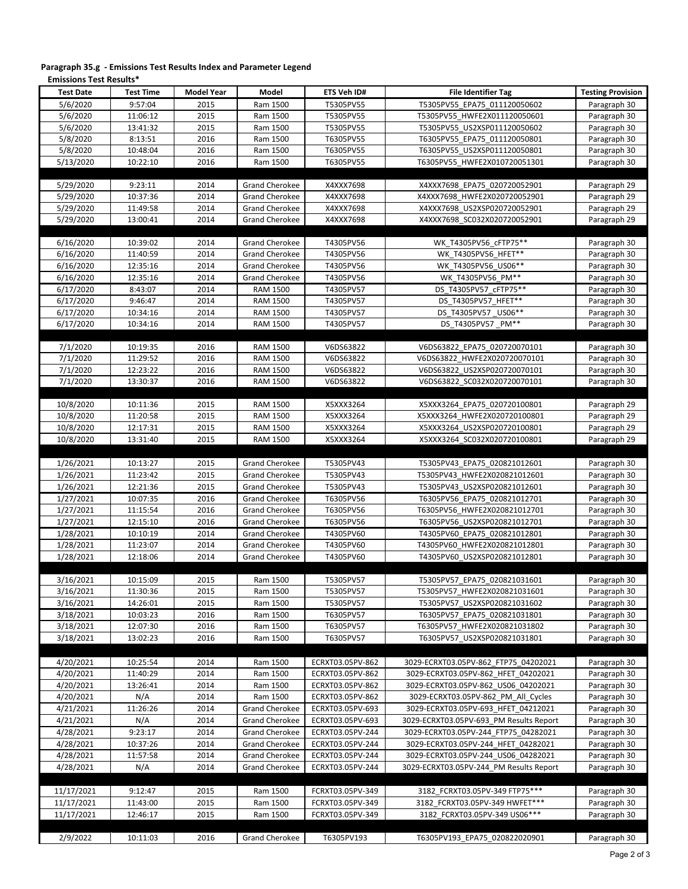| <b>Test Date</b>      | <b>Test Time</b> | <b>Model Year</b> | Model                 | ETS Veh ID#      | <b>File Identifier Tag</b>              | <b>Testing Provision</b> |
|-----------------------|------------------|-------------------|-----------------------|------------------|-----------------------------------------|--------------------------|
| 5/6/2020              | 9:57:04          | 2015              | Ram 1500              | T5305PV55        | T5305PV55 EPA75 011120050602            | Paragraph 30             |
| 5/6/2020              | 11:06:12         | 2015              | Ram 1500              | T5305PV55        | T5305PV55 HWFE2X011120050601            | Paragraph 30             |
| 5/6/2020              | 13:41:32         | 2015              | Ram 1500              | T5305PV55        | T5305PV55 US2XSP011120050602            | Paragraph 30             |
| 5/8/2020              | 8:13:51          | 2016              | Ram 1500              | T6305PV55        | T6305PV55 EPA75 011120050801            | Paragraph 30             |
| 5/8/2020              | 10:48:04         | 2016              | Ram 1500              | T6305PV55        | T6305PV55 US2XSP011120050801            | Paragraph 30             |
| 5/13/2020             | 10:22:10         | 2016              | Ram 1500              | T6305PV55        | T6305PV55 HWFE2X010720051301            | Paragraph 30             |
|                       |                  |                   |                       |                  |                                         |                          |
|                       |                  |                   |                       |                  |                                         |                          |
| 5/29/2020             | 9:23:11          | 2014              | <b>Grand Cherokee</b> | X4XXX7698        | X4XXX7698 EPA75 020720052901            | Paragraph 29             |
| 5/29/2020             | 10:37:36         | 2014              | <b>Grand Cherokee</b> | X4XXX7698        | X4XXX7698 HWFE2X020720052901            | Paragraph 29             |
| 5/29/2020             | 11:49:58         | 2014              | <b>Grand Cherokee</b> | X4XXX7698        | X4XXX7698 US2XSP020720052901            | Paragraph 29             |
| 5/29/2020             | 13:00:41         | 2014              | <b>Grand Cherokee</b> | X4XXX7698        | X4XXX7698 SC032X020720052901            | Paragraph 29             |
|                       |                  |                   |                       |                  |                                         |                          |
| 6/16/2020             | 10:39:02         | 2014              | <b>Grand Cherokee</b> | T4305PV56        | WK T4305PV56 cFTP75**                   | Paragraph 30             |
| 6/16/2020             | 11:40:59         | 2014              | <b>Grand Cherokee</b> | T4305PV56        | WK T4305PV56 HFET**                     | Paragraph 30             |
| 6/16/2020             | 12:35:16         | 2014              | <b>Grand Cherokee</b> | T4305PV56        | WK T4305PV56 US06**                     | Paragraph 30             |
| 6/16/2020             | 12:35:16         | 2014              | <b>Grand Cherokee</b> | T4305PV56        | WK T4305PV56 PM**                       | Paragraph 30             |
| 6/17/2020             | 8:43:07          | 2014              | <b>RAM 1500</b>       | T4305PV57        | DS T4305PV57 cFTP75**                   | Paragraph 30             |
| 6/17/2020             | 9:46:47          | 2014              | <b>RAM 1500</b>       | T4305PV57        | DS T4305PV57 HFET**                     | Paragraph 30             |
| 6/17/2020             | 10:34:16         | 2014              | <b>RAM 1500</b>       | T4305PV57        | DS T4305PV57 US06**                     | Paragraph 30             |
| 6/17/2020             | 10:34:16         | 2014              | <b>RAM 1500</b>       | T4305PV57        | DS T4305PV57 PM**                       | Paragraph 30             |
|                       |                  |                   |                       |                  |                                         |                          |
| 7/1/2020              | 10:19:35         | 2016              | <b>RAM 1500</b>       | V6DS63822        | V6DS63822 EPA75 020720070101            | Paragraph 30             |
| 7/1/2020              | 11:29:52         | 2016              | <b>RAM 1500</b>       | V6DS63822        | V6DS63822 HWFE2X020720070101            | Paragraph 30             |
| 7/1/2020              | 12:23:22         | 2016              | <b>RAM 1500</b>       | V6DS63822        | V6DS63822 US2XSP020720070101            | Paragraph 30             |
| 7/1/2020              | 13:30:37         | 2016              | <b>RAM 1500</b>       | V6DS63822        | V6DS63822 SC032X020720070101            | Paragraph 30             |
|                       |                  |                   |                       |                  |                                         |                          |
| 10/8/2020             | 10:11:36         | 2015              | RAM 1500              | X5XXX3264        | X5XXX3264 EPA75 020720100801            | Paragraph 29             |
| 10/8/2020             | 11:20:58         | 2015              | <b>RAM 1500</b>       | X5XXX3264        | X5XXX3264 HWFE2X020720100801            | Paragraph 29             |
|                       |                  |                   |                       |                  |                                         |                          |
| 10/8/2020             | 12:17:31         | 2015              | RAM 1500              | X5XXX3264        | X5XXX3264_US2XSP020720100801            | Paragraph 29             |
| 10/8/2020             | 13:31:40         | 2015              | <b>RAM 1500</b>       | X5XXX3264        | X5XXX3264 SC032X020720100801            | Paragraph 29             |
|                       |                  |                   |                       |                  |                                         |                          |
| 1/26/2021             | 10:13:27         | 2015              | Grand Cherokee        | T5305PV43        | T5305PV43 EPA75 020821012601            | Paragraph 30             |
| 1/26/2021             | 11:23:42         | 2015              | <b>Grand Cherokee</b> | T5305PV43        | T5305PV43 HWFE2X020821012601            | Paragraph 30             |
| 1/26/2021             | 12:21:36         | 2015              | Grand Cherokee        | T5305PV43        | T5305PV43 US2XSP020821012601            | Paragraph 30             |
| 1/27/2021             | 10:07:35         | 2016              | <b>Grand Cherokee</b> | T6305PV56        | T6305PV56 EPA75 020821012701            | Paragraph 30             |
| 1/27/2021             | 11:15:54         | 2016              | Grand Cherokee        | T6305PV56        | T6305PV56 HWFE2X020821012701            | Paragraph 30             |
| 1/27/2021             | 12:15:10         | 2016              | <b>Grand Cherokee</b> | T6305PV56        | T6305PV56 US2XSP020821012701            | Paragraph 30             |
| 1/28/2021             | 10:10:19         | 2014              | <b>Grand Cherokee</b> | T4305PV60        | T4305PV60 EPA75 020821012801            | Paragraph 30             |
| 1/28/2021             | 11:23:07         | 2014              | <b>Grand Cherokee</b> | T4305PV60        | T4305PV60 HWFE2X020821012801            | Paragraph 30             |
| 1/28/2021             | 12:18:06         | 2014              | <b>Grand Cherokee</b> | T4305PV60        | T4305PV60 US2XSP020821012801            | Paragraph 30             |
|                       |                  |                   |                       |                  |                                         |                          |
| 3/16/2021             | 10:15:09         | 2015              | Ram 1500              | T5305PV57        | T5305PV57 EPA75 020821031601            | Paragraph 30             |
| 3/16/2021             | 11:30:36         | 2015              | Ram 1500              | T5305PV57        | T5305PV57_HWFE2X020821031601            | Paragraph 30             |
| 3/16/2021             | 14:26:01         | 2015              | Ram 1500              | T5305PV57        | T5305PV57_US2XSP020821031602            | Paragraph 30             |
| 3/18/2021             | 10:03:23         | 2016              | Ram 1500              | T6305PV57        | T6305PV57_EPA75_020821031801            | Paragraph 30             |
| 3/18/2021             | 12:07:30         | 2016              | Ram 1500              | T6305PV57        | T6305PV57 HWFE2X020821031802            | Paragraph 30             |
| 3/18/2021             | 13:02:23         | 2016              | Ram 1500              | T6305PV57        | T6305PV57_US2XSP020821031801            | Paragraph 30             |
|                       |                  |                   |                       |                  |                                         |                          |
| 4/20/2021             | 10:25:54         | 2014              | Ram 1500              | ECRXT03.05PV-862 | 3029-ECRXT03.05PV-862 FTP75 04202021    | Paragraph 30             |
| 4/20/2021             | 11:40:29         | 2014              | Ram 1500              | ECRXT03.05PV-862 | 3029-ECRXT03.05PV-862 HFET 04202021     | Paragraph 30             |
|                       |                  |                   |                       |                  |                                         |                          |
| 4/20/2021             | 13:26:41         | 2014              | Ram 1500              | ECRXT03.05PV-862 | 3029-ECRXT03.05PV-862 US06 04202021     | Paragraph 30             |
| 4/20/2021             | N/A              | 2014              | Ram 1500              | ECRXT03.05PV-862 | 3029-ECRXT03.05PV-862 PM All Cycles     | Paragraph 30             |
| 4/21/2021             | 11:26:26         | 2014              | <b>Grand Cherokee</b> | ECRXT03.05PV-693 | 3029-ECRXT03.05PV-693 HFET 04212021     | Paragraph 30             |
| 4/21/2021             | N/A              | 2014              | <b>Grand Cherokee</b> | ECRXT03.05PV-693 | 3029-ECRXT03.05PV-693 PM Results Report | Paragraph 30             |
| $\frac{1}{4}/28/2021$ | 9:23:17          | 2014              | <b>Grand Cherokee</b> | ECRXT03.05PV-244 | 3029-ECRXT03.05PV-244 FTP75 04282021    | Paragraph 30             |
| 4/28/2021             | 10:37:26         | 2014              | <b>Grand Cherokee</b> | ECRXT03.05PV-244 | 3029-ECRXT03.05PV-244_HFET_04282021     | Paragraph 30             |
| 4/28/2021             | 11:57:58         | 2014              | <b>Grand Cherokee</b> | ECRXT03.05PV-244 | 3029-ECRXT03.05PV-244_US06_04282021     | Paragraph 30             |
| 4/28/2021             | N/A              | 2014              | <b>Grand Cherokee</b> | ECRXT03.05PV-244 | 3029-ECRXT03.05PV-244_PM Results Report | Paragraph 30             |
|                       |                  |                   |                       |                  |                                         |                          |
| 11/17/2021            | 9:12:47          | 2015              | Ram 1500              | FCRXT03.05PV-349 | 3182 FCRXT03.05PV-349 FTP75 ***         | Paragraph 30             |
| 11/17/2021            | 11:43:00         | 2015              | Ram 1500              | FCRXT03.05PV-349 | 3182 FCRXT03.05PV-349 HWFET***          | Paragraph 30             |
| 11/17/2021            | 12:46:17         | 2015              | Ram 1500              | FCRXT03.05PV-349 | 3182 FCRXT03.05PV-349 US06***           | Paragraph 30             |
|                       |                  |                   |                       |                  |                                         |                          |
| 2/9/2022              | 10:11:03         | 2016              | <b>Grand Cherokee</b> | T6305PV193       | T6305PV193 EPA75 020822020901           | Paragraph 30             |

## **Paragraph 35.g - Emissions Test Results Index and Parameter Legend Emissions Test Results\***